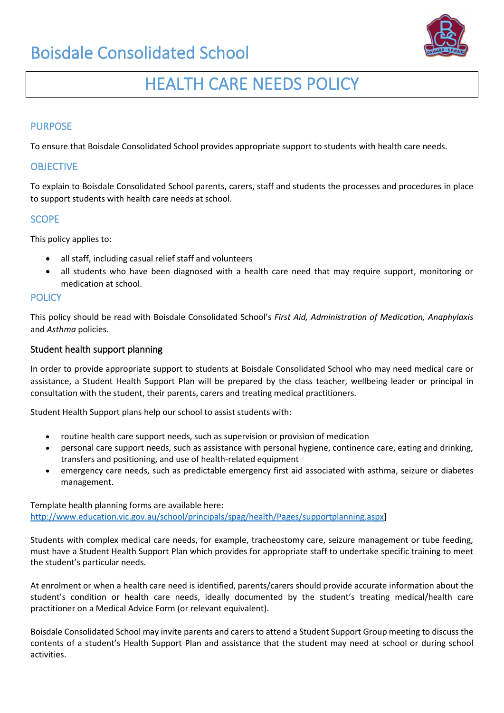# Boisdale Consolidated School



# HEALTH CARE NEEDS POLICY

### PURPOSE

To ensure that Boisdale Consolidated School provides appropriate support to students with health care needs.

#### **OBJECTIVE**

To explain to Boisdale Consolidated School parents, carers, staff and students the processes and procedures in place to support students with health care needs at school.

#### **SCOPE**

This policy applies to:

- all staff, including casual relief staff and volunteers
- all students who have been diagnosed with a health care need that may require support, monitoring or medication at school.

### **POLICY**

This policy should be read with Boisdale Consolidated School's *First Aid, Administration of Medication, Anaphylaxis* and *Asthma* policies.

#### Student health support planning

In order to provide appropriate support to students at Boisdale Consolidated School who may need medical care or assistance, a Student Health Support Plan will be prepared by the class teacher, wellbeing leader or principal in consultation with the student, their parents, carers and treating medical practitioners.

Student Health Support plans help our school to assist students with:

- routine health care support needs, such as supervision or provision of medication
- personal care support needs, such as assistance with personal hygiene, continence care, eating and drinking, transfers and positioning, and use of health-related equipment
- emergency care needs, such as predictable emergency first aid associated with asthma, seizure or diabetes management.

Template health planning forms are available here: [http://www.education.vic.gov.au/school/principals/spag/health/Pages/supportplanning.aspx\]](http://www.education.vic.gov.au/school/principals/spag/health/Pages/supportplanning.aspx)

Students with complex medical care needs, for example, tracheostomy care, seizure management or tube feeding, must have a Student Health Support Plan which provides for appropriate staff to undertake specific training to meet the student's particular needs.

At enrolment or when a health care need is identified, parents/carers should provide accurate information about the student's condition or health care needs, ideally documented by the student's treating medical/health care practitioner on a Medical Advice Form (or relevant equivalent).

Boisdale Consolidated School may invite parents and carers to attend a Student Support Group meeting to discuss the contents of a student's Health Support Plan and assistance that the student may need at school or during school activities.